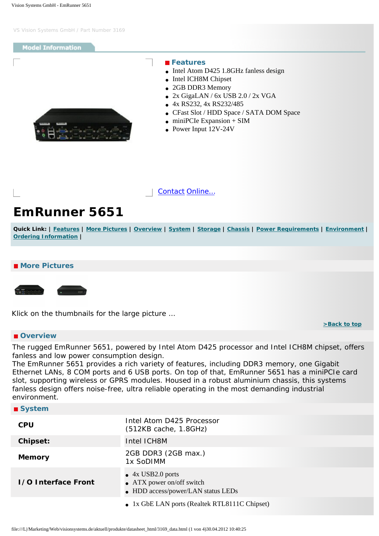## <span id="page-0-4"></span>**Model Information**

<span id="page-0-0"></span>

#### **Features**

- Intel Atom D425 1.8GHz fanless design
- Intel ICH8M Chipset
- 2GB DDR3 Memory
- $\bullet$  2x GigaLAN / 6x USB 2.0 / 2x VGA
- 4x RS232, 4x RS232/485
- CFast Slot / HDD Space / SATA DOM Space

**[>Back to top](#page-0-4)** 

- $\bullet$  miniPCIe Expansion + SIM
- Power Input 12V-24V



# **EmRunner 5651**

Quick Link: | [Features](#page-0-0) | [More Pictures](#page-0-1) | [Overview](#page-0-2) | [System](#page-0-3) | [Storage](#page-1-0) | [Chassis](#page-1-1) | [Power Requirements](#page-1-2) | [Environment](#page-1-3) | **[Ordering Information](#page-1-4) |**

### <span id="page-0-1"></span> **More Pictures**



Klick on the thumbnails for the large picture …

### <span id="page-0-2"></span> **Overview**

The rugged EmRunner 5651, powered by Intel Atom D425 processor and Intel ICH8M chipset, offers fanless and low power consumption design.

The EmRunner 5651 provides a rich variety of features, including DDR3 memory, one Gigabit Ethernet LANs, 8 COM ports and 6 USB ports. On top of that, EmRunner 5651 has a miniPCIe card slot, supporting wireless or GPRS modules. Housed in a robust aluminium chassis, this systems fanless design offers noise-free, ultra reliable operating in the most demanding industrial environment.

<span id="page-0-3"></span>

| ■ System                   |                                                                                              |
|----------------------------|----------------------------------------------------------------------------------------------|
| <b>CPU</b>                 | Intel Atom D425 Processor<br>(512KB cache, 1.8GHz)                                           |
| Chipset:                   | Intel ICH8M                                                                                  |
| <b>Memory</b>              | 2GB DDR3 (2GB max.)<br>1x SoDIMM                                                             |
| <b>1/0 Interface Front</b> | $\bullet$ 4x USB2.0 ports<br>• ATX power on/off switch<br>• HDD access/power/LAN status LEDs |
|                            | • 1x GbE LAN ports (Realtek RTL8111C Chipset)                                                |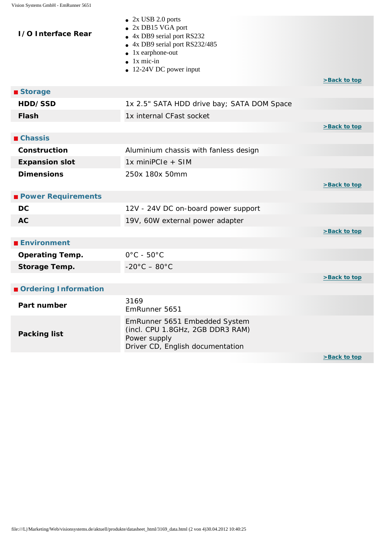<span id="page-1-4"></span><span id="page-1-3"></span><span id="page-1-2"></span><span id="page-1-1"></span><span id="page-1-0"></span>

| <b>1/0 Interface Rear</b> | $\bullet$ 2x USB 2.0 ports<br>2x DB15 VGA port<br>4x DB9 serial port RS232<br>$\bullet$<br>• 4x DB9 serial port RS232/485<br>$\bullet$ 1x earphone-out<br>$\bullet$ 1x mic-in<br>$\bullet$ 12-24V DC power input | >Back to top       |
|---------------------------|------------------------------------------------------------------------------------------------------------------------------------------------------------------------------------------------------------------|--------------------|
| ■ Storage                 |                                                                                                                                                                                                                  |                    |
| HDD/SSD                   | 1x 2.5" SATA HDD drive bay; SATA DOM Space                                                                                                                                                                       |                    |
| <b>Flash</b>              | 1x internal CFast socket                                                                                                                                                                                         |                    |
|                           |                                                                                                                                                                                                                  | >Back to top       |
| $\blacksquare$ Chassis    |                                                                                                                                                                                                                  |                    |
| Construction              | Aluminium chassis with fanless design                                                                                                                                                                            |                    |
| <b>Expansion slot</b>     | 1x miniPCle + SIM                                                                                                                                                                                                |                    |
| <b>Dimensions</b>         | 250x 180x 50mm                                                                                                                                                                                                   | >Back to top       |
| <b>Power Requirements</b> |                                                                                                                                                                                                                  |                    |
| <b>DC</b>                 | 12V - 24V DC on-board power support                                                                                                                                                                              |                    |
| <b>AC</b>                 | 19V, 60W external power adapter                                                                                                                                                                                  |                    |
|                           |                                                                                                                                                                                                                  | >Back to top       |
| <b>Environment</b>        |                                                                                                                                                                                                                  |                    |
| <b>Operating Temp.</b>    | $0^{\circ}$ C - $50^{\circ}$ C                                                                                                                                                                                   |                    |
| Storage Temp.             | $-20^{\circ}$ C $-80^{\circ}$ C                                                                                                                                                                                  |                    |
|                           |                                                                                                                                                                                                                  | >Back to top       |
| Ordering Information      |                                                                                                                                                                                                                  |                    |
| Part number               | 3169<br>EmRunner 5651                                                                                                                                                                                            |                    |
| <b>Packing list</b>       | EmRunner 5651 Embedded System<br>(incl. CPU 1.8GHz, 2GB DDR3 RAM)<br>Power supply<br>Driver CD, English documentation                                                                                            |                    |
|                           |                                                                                                                                                                                                                  | $\sim$ Pack to top |

<u>>васк то top</u>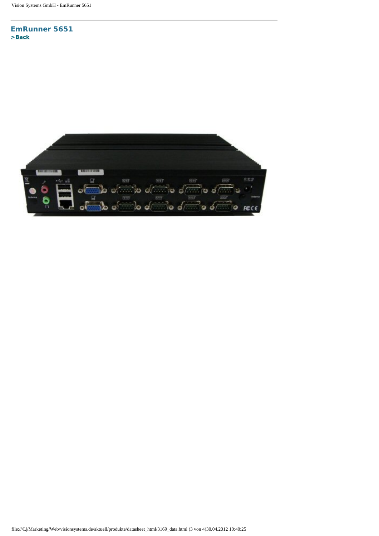